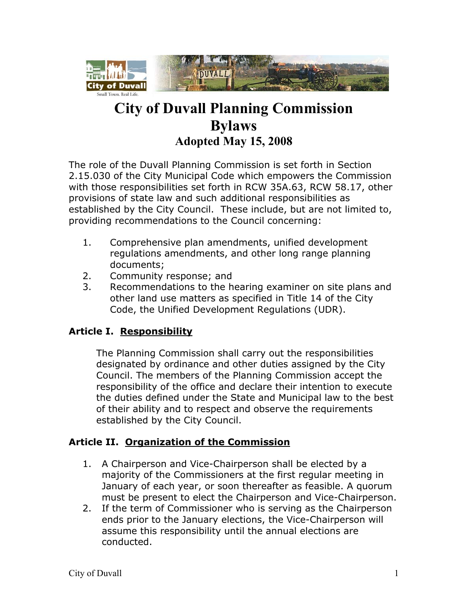

# **City of Duvall Planning Commission Bylaws Adopted May 15, 2008**

The role of the Duvall Planning Commission is set forth in Section 2.15.030 of the City Municipal Code which empowers the Commission with those responsibilities set forth in RCW 35A.63, RCW 58.17, other provisions of state law and such additional responsibilities as established by the City Council. These include, but are not limited to, providing recommendations to the Council concerning:

- 1. Comprehensive plan amendments, unified development regulations amendments, and other long range planning documents;
- 2. Community response; and
- 3. Recommendations to the hearing examiner on site plans and other land use matters as specified in Title 14 of the City Code, the Unified Development Regulations (UDR).

# **Article I. Responsibility**

The Planning Commission shall carry out the responsibilities designated by ordinance and other duties assigned by the City Council. The members of the Planning Commission accept the responsibility of the office and declare their intention to execute the duties defined under the State and Municipal law to the best of their ability and to respect and observe the requirements established by the City Council.

# **Article II. Organization of the Commission**

- 1. A Chairperson and Vice-Chairperson shall be elected by a majority of the Commissioners at the first regular meeting in January of each year, or soon thereafter as feasible. A quorum must be present to elect the Chairperson and Vice-Chairperson.
- 2. If the term of Commissioner who is serving as the Chairperson ends prior to the January elections, the Vice-Chairperson will assume this responsibility until the annual elections are conducted.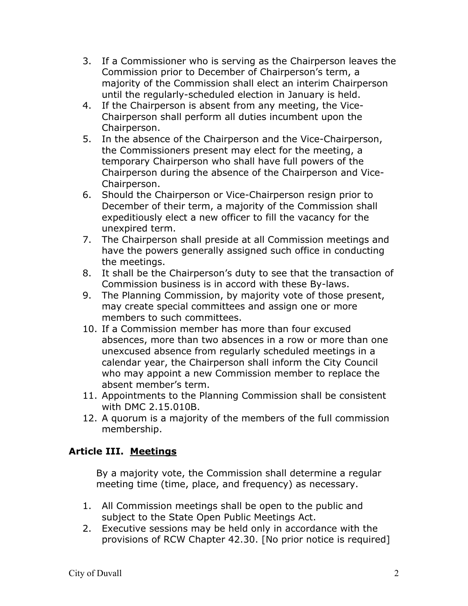- 3. If a Commissioner who is serving as the Chairperson leaves the Commission prior to December of Chairperson's term, a majority of the Commission shall elect an interim Chairperson until the regularly-scheduled election in January is held.
- 4. If the Chairperson is absent from any meeting, the Vice-Chairperson shall perform all duties incumbent upon the Chairperson.
- 5. In the absence of the Chairperson and the Vice-Chairperson, the Commissioners present may elect for the meeting, a temporary Chairperson who shall have full powers of the Chairperson during the absence of the Chairperson and Vice-Chairperson.
- 6. Should the Chairperson or Vice-Chairperson resign prior to December of their term, a majority of the Commission shall expeditiously elect a new officer to fill the vacancy for the unexpired term.
- 7. The Chairperson shall preside at all Commission meetings and have the powers generally assigned such office in conducting the meetings.
- 8. It shall be the Chairperson's duty to see that the transaction of Commission business is in accord with these By-laws.
- 9. The Planning Commission, by majority vote of those present, may create special committees and assign one or more members to such committees.
- 10. If a Commission member has more than four excused absences, more than two absences in a row or more than one unexcused absence from regularly scheduled meetings in a calendar year, the Chairperson shall inform the City Council who may appoint a new Commission member to replace the absent member's term.
- 11. Appointments to the Planning Commission shall be consistent with DMC 2.15.010B.
- 12. A quorum is a majority of the members of the full commission membership.

# **Article III. Meetings**

By a majority vote, the Commission shall determine a regular meeting time (time, place, and frequency) as necessary.

- 1. All Commission meetings shall be open to the public and subject to the State Open Public Meetings Act.
- 2. Executive sessions may be held only in accordance with the provisions of RCW Chapter 42.30. [No prior notice is required]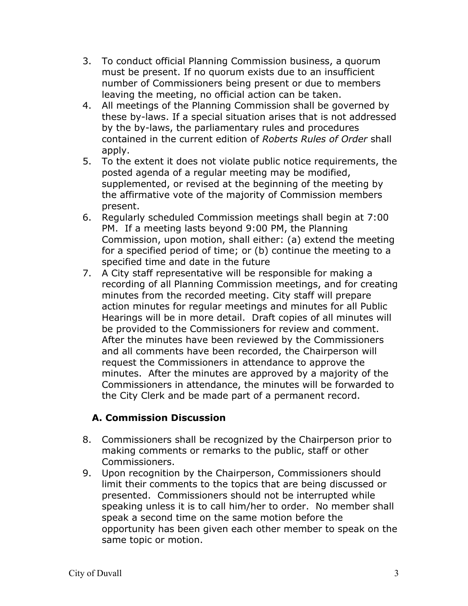- 3. To conduct official Planning Commission business, a quorum must be present. If no quorum exists due to an insufficient number of Commissioners being present or due to members leaving the meeting, no official action can be taken.
- 4. All meetings of the Planning Commission shall be governed by these by-laws. If a special situation arises that is not addressed by the by-laws, the parliamentary rules and procedures contained in the current edition of *Roberts Rules of Order* shall apply.
- 5. To the extent it does not violate public notice requirements, the posted agenda of a regular meeting may be modified, supplemented, or revised at the beginning of the meeting by the affirmative vote of the majority of Commission members present.
- 6. Regularly scheduled Commission meetings shall begin at 7:00 PM. If a meeting lasts beyond 9:00 PM, the Planning Commission, upon motion, shall either: (a) extend the meeting for a specified period of time; or (b) continue the meeting to a specified time and date in the future
- 7. A City staff representative will be responsible for making a recording of all Planning Commission meetings, and for creating minutes from the recorded meeting. City staff will prepare action minutes for regular meetings and minutes for all Public Hearings will be in more detail. Draft copies of all minutes will be provided to the Commissioners for review and comment. After the minutes have been reviewed by the Commissioners and all comments have been recorded, the Chairperson will request the Commissioners in attendance to approve the minutes. After the minutes are approved by a majority of the Commissioners in attendance, the minutes will be forwarded to the City Clerk and be made part of a permanent record.

### **A. Commission Discussion**

- 8. Commissioners shall be recognized by the Chairperson prior to making comments or remarks to the public, staff or other Commissioners.
- 9. Upon recognition by the Chairperson, Commissioners should limit their comments to the topics that are being discussed or presented. Commissioners should not be interrupted while speaking unless it is to call him/her to order. No member shall speak a second time on the same motion before the opportunity has been given each other member to speak on the same topic or motion.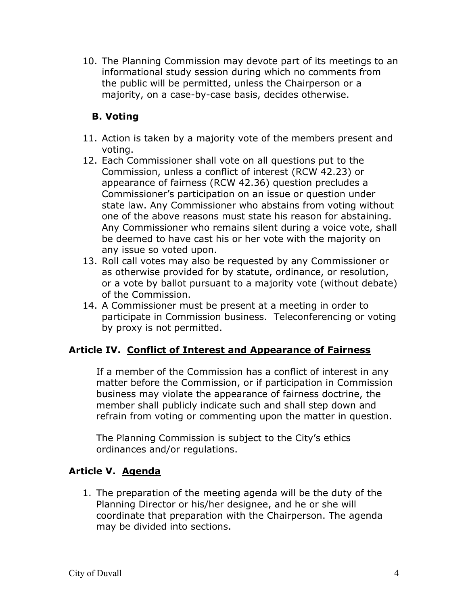10. The Planning Commission may devote part of its meetings to an informational study session during which no comments from the public will be permitted, unless the Chairperson or a majority, on a case-by-case basis, decides otherwise.

# **B. Voting**

- 11. Action is taken by a majority vote of the members present and voting.
- 12. Each Commissioner shall vote on all questions put to the Commission, unless a conflict of interest (RCW 42.23) or appearance of fairness (RCW 42.36) question precludes a Commissioner's participation on an issue or question under state law. Any Commissioner who abstains from voting without one of the above reasons must state his reason for abstaining. Any Commissioner who remains silent during a voice vote, shall be deemed to have cast his or her vote with the majority on any issue so voted upon.
- 13. Roll call votes may also be requested by any Commissioner or as otherwise provided for by statute, ordinance, or resolution, or a vote by ballot pursuant to a majority vote (without debate) of the Commission.
- 14. A Commissioner must be present at a meeting in order to participate in Commission business. Teleconferencing or voting by proxy is not permitted.

### **Article IV. Conflict of Interest and Appearance of Fairness**

If a member of the Commission has a conflict of interest in any matter before the Commission, or if participation in Commission business may violate the appearance of fairness doctrine, the member shall publicly indicate such and shall step down and refrain from voting or commenting upon the matter in question.

The Planning Commission is subject to the City's ethics ordinances and/or regulations.

### **Article V. Agenda**

1. The preparation of the meeting agenda will be the duty of the Planning Director or his/her designee, and he or she will coordinate that preparation with the Chairperson. The agenda may be divided into sections.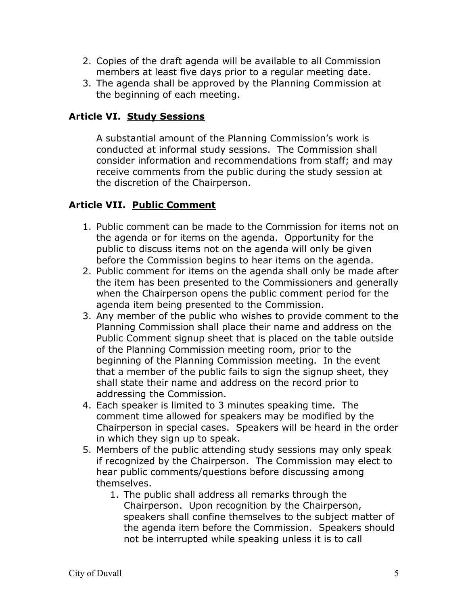- 2. Copies of the draft agenda will be available to all Commission members at least five days prior to a regular meeting date.
- 3. The agenda shall be approved by the Planning Commission at the beginning of each meeting.

### **Article VI. Study Sessions**

A substantial amount of the Planning Commission's work is conducted at informal study sessions. The Commission shall consider information and recommendations from staff; and may receive comments from the public during the study session at the discretion of the Chairperson.

# **Article VII. Public Comment**

- 1. Public comment can be made to the Commission for items not on the agenda or for items on the agenda. Opportunity for the public to discuss items not on the agenda will only be given before the Commission begins to hear items on the agenda.
- 2. Public comment for items on the agenda shall only be made after the item has been presented to the Commissioners and generally when the Chairperson opens the public comment period for the agenda item being presented to the Commission.
- 3. Any member of the public who wishes to provide comment to the Planning Commission shall place their name and address on the Public Comment signup sheet that is placed on the table outside of the Planning Commission meeting room, prior to the beginning of the Planning Commission meeting. In the event that a member of the public fails to sign the signup sheet, they shall state their name and address on the record prior to addressing the Commission.
- 4. Each speaker is limited to 3 minutes speaking time. The comment time allowed for speakers may be modified by the Chairperson in special cases. Speakers will be heard in the order in which they sign up to speak.
- 5. Members of the public attending study sessions may only speak if recognized by the Chairperson. The Commission may elect to hear public comments/questions before discussing among themselves.
	- 1. The public shall address all remarks through the Chairperson. Upon recognition by the Chairperson, speakers shall confine themselves to the subject matter of the agenda item before the Commission. Speakers should not be interrupted while speaking unless it is to call